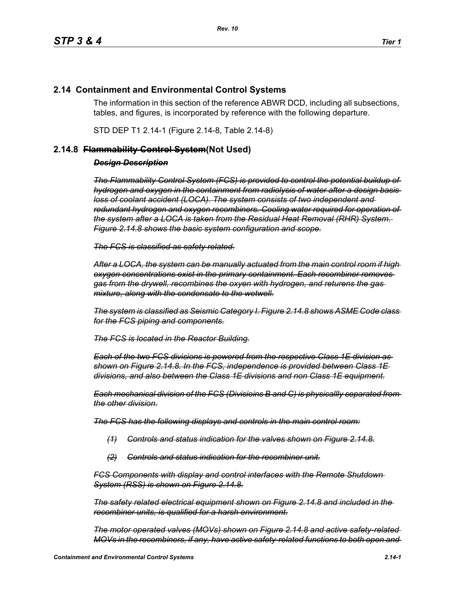## **2.14 Containment and Environmental Control Systems**

The information in this section of the reference ABWR DCD, including all subsections, tables, and figures, is incorporated by reference with the following departure.

STD DEP T1 2.14-1 (Figure 2.14-8, Table 2.14-8)

## **2.14.8 Flammability Control System(Not Used)**

## *Design Description*

*The Flammability Control System (FCS) is provided to control the potential buildup of hydrogen and oxygen in the containment from radiolysis of water after a design basis loss of coolant accident (LOCA). The system consists of two independent and redundant hydrogen and oxygen recombiners. Cooling water required for operation of the system after a LOCA is taken from the Residual Heat Removal (RHR) System. Figure 2.14.8 shows the basic system configuration and scope.*

*The FCS is classified as safety related.*

*After a LOCA, the system can be manually actuated from the main control room if high oxygen concentrations exist in the primary containment. Each recombiner removes gas from the drywell, recombines the oxyen with hydrogen, and returens the gas mixture, along with the condensate to the wetwell.*

*The system is classified as Seismic Category I. Figure 2.14.8 shows ASME Code class for the FCS piping and components.*

*The FCS is located in the Reactor Building.*

*Each of the two FCS divisions is powered from the respective Class 1E division as shown on Figure 2.14.8. In the FCS, independence is provided between Class 1E divisions, and also between the Class 1E divisions and non Class 1E equipment.*

*Each mechanical division of the FCS (Divisioins B and C) is physicallly separated from the other division.*

*The FCS has the following displays and controls in the main control room:*

- *(1) Controls and status indication for the valves shown on Figure 2.14.8.*
- *(2) Controls and status indication for the recombiner unit.*

*FCS Components with display and control interfaces with the Remote Shutdown System (RSS) is shown on Figure 2.14.8.*

*The safety related electrical equipment shown on Figure 2.14.8 and included in the recombiner units, is qualified for a harsh environment.*

*The motor operated valves (MOVs) shown on Figure 2.14.8 and active safety-related MOVs in the recombiners, if any, have active safety-related functions to both open and*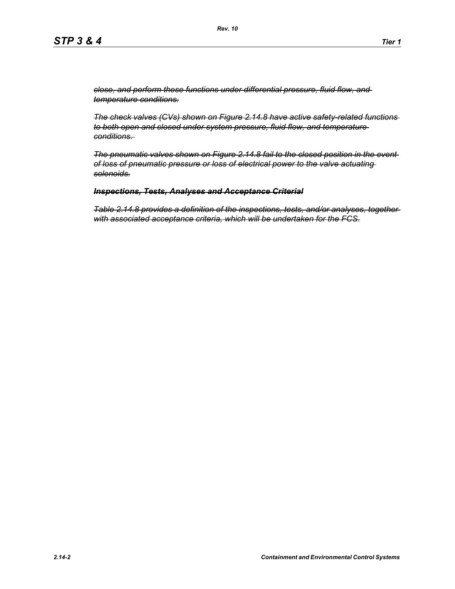*close, and perform these functions under differential pressure, fluid flow, and temperature conditions.*

*The check valves (CVs) shown on Figure 2.14.8 have active safety-related functions to both open and closed under system pressure, fluid flow, and temperature conditions.* 

*The pneumatic valves shown on Figure 2.14.8 fail to the closed position in the event of loss of pneumatic pressure or loss of electrical power to the valve actuating solenoids.*

## *Inspections, Tests, Analyses and Acceptance Criterial*

*Table 2.14.8 provides a definition of the inspections, tests, and/or analyses, together with associated acceptance criteria, which will be undertaken for the FCS.*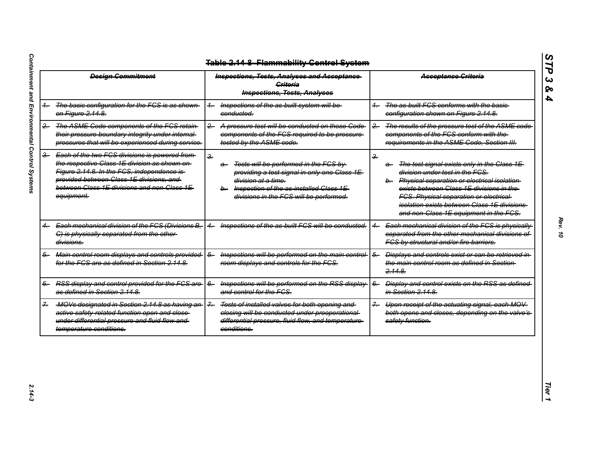| <b>Design Commitment</b> |                                                                                                                                                                                                                                                       | <b>Inspections, Tests, Analyses and Acceptance</b><br><b>Griteria</b><br><b>Inspections, Tests, Analyses</b>                                                                                                                                   | <b>Acceptance Criteria</b>                                                                                                                                                                                                                                                                                                                          |  |
|--------------------------|-------------------------------------------------------------------------------------------------------------------------------------------------------------------------------------------------------------------------------------------------------|------------------------------------------------------------------------------------------------------------------------------------------------------------------------------------------------------------------------------------------------|-----------------------------------------------------------------------------------------------------------------------------------------------------------------------------------------------------------------------------------------------------------------------------------------------------------------------------------------------------|--|
|                          | The basic configuration for the FCS is as shown<br>on Figure 2.14.8.                                                                                                                                                                                  | Inspections of the as built system will be-<br>$+$<br>conducted.                                                                                                                                                                               | The as built FCS conforms with the basic-<br>configuration shown on Figure 2.14.8.                                                                                                                                                                                                                                                                  |  |
| $-$                      | The ASME Code components of the FCS retain-<br>their pressure boundary integrity under internal-<br>pressures that will be experienced during service.                                                                                                | A pressure test will be conducted on those Code-<br>$-2$<br>components of the FCS required to be pressure-<br>tested by the ASME code.                                                                                                         | The results of the pressure test of the ASME code<br>$\overline{2}$<br>components of the FCS conform with the-<br>requirements in the ASME Code, Section III.                                                                                                                                                                                       |  |
| $rac{3}{2}$              | Each of the two FCS divisions is powered from<br>the respective Class 1E division as shown on-<br>Figure 2.14.8. In the FCS, independence is<br>provided between Class 1E divisions, and<br>between Class 1E divisions and non Class 1E<br>equipment. | $\frac{2}{\pi}$<br>Tests will be performed in the FCS by<br>a—<br>providing a test signal in only one Class 1E-<br><del>division at a time.</del><br>Inspection of the as-installed Class 1E-<br>b-<br>divisions in the FCS will be performed. | $\frac{2}{\pi}$<br>The test signal exists only in the Class 1E-<br>a.<br>division under test in the FCS.<br>b. Physical separation or electrical isolation<br>exists between Class 1E divisions in the-<br><b>FCS. Physical separation or electrical-</b><br>isolation exists between Class 1E divisions-<br>and non-Class 1E equipment in the FCS. |  |
|                          | Each mechanical division of the FCS (Divisions B,<br>C) is physically separated from the other-<br>divisions.                                                                                                                                         | Inspections of the as built FCS will be conducted.                                                                                                                                                                                             | Each mechanical division of the FCS is physically<br>separated from the other mechanical divisions of<br>FCS by structural and/or fire barriers.                                                                                                                                                                                                    |  |
| 5-                       | Main control room displays and controls provided<br>for the FCS are as defined in Section 2.14.8.                                                                                                                                                     | Inspections will be performed on the main control-<br>$\overline{6}$<br>room displays and controls for the FCS.                                                                                                                                | <b>Displays and controls exist or can be retrieved in-</b><br>$6-$<br>the main control room as defined in Section-<br>2.14.8                                                                                                                                                                                                                        |  |
|                          | RSS display and control provided for the FCS are<br>as defined in Section 2.14.8.                                                                                                                                                                     | Inspections will be performed on the RSS display-<br>$6-$<br>and control for the FCS.                                                                                                                                                          | Display and control exists on the RSS as defined-<br>$6-$<br>in Section 2.14.8.                                                                                                                                                                                                                                                                     |  |
|                          | MOVs designated in Section 2.14.8 as having an-<br>active safety related function open and close-<br>under differential pressure and fluid flow and<br>temperature conditions.                                                                        | $\overline{z}$<br>Tests of installed valves for both opening and<br>closing will be conducted under preoperational-<br>differential pressure, fluid flow, and temperature-<br>conditions.                                                      | Upon receipt of the actuating signal, each MOV<br>$7 -$<br>both opens and closes, depending on the valve's-<br>safety function.                                                                                                                                                                                                                     |  |

*STP 3 & 4*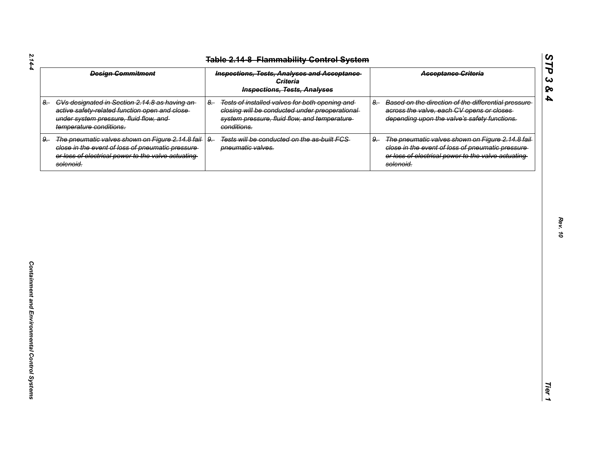|      | <b>Table 2.14-8 Flammability Control System</b>                                                                                                                          |                                                                                                                                                                         |                                                                                                                                                                                 |
|------|--------------------------------------------------------------------------------------------------------------------------------------------------------------------------|-------------------------------------------------------------------------------------------------------------------------------------------------------------------------|---------------------------------------------------------------------------------------------------------------------------------------------------------------------------------|
|      | <b>Design Commitment</b>                                                                                                                                                 | <b>Inspections, Tests, Analyses and Acceptance</b><br><b>Criteria</b><br><b>Inspections, Tests, Analyses</b>                                                            | <b>Acceptance Criteria</b>                                                                                                                                                      |
| $8-$ | CVs designated in Section 2.14.8 as having an-<br>active safety-related function open and close-<br>under system pressure, fluid flow, and<br>temperature conditions.    | Tests of installed valves for both opening and<br>$8-$<br>closing will be conducted under preoperational<br>system pressure, fluid flow, and temperature<br>conditions. | Based on the direction of the differential pressure<br>$8-$<br>across the valve, each CV opens or closes<br>depending upon the valve's safety functions.                        |
| $9-$ | The pneumatic valves shown on Figure 2.14.8 fail<br>close in the event of loss of pneumatic pressure-<br>or loss of electrical power to the valve actuating<br>solenoid. | Tests will be conducted on the as-built FCS-<br>$9-$<br>pneumatic valves.                                                                                               | The pneumatic valves shown on Figure 2.14.8 fail<br>$9-$<br>close in the event of loss of pneumatic pressure<br>or loss of electrical power to the valve actuating<br>solenoid. |
|      |                                                                                                                                                                          |                                                                                                                                                                         |                                                                                                                                                                                 |
|      |                                                                                                                                                                          |                                                                                                                                                                         |                                                                                                                                                                                 |
|      |                                                                                                                                                                          |                                                                                                                                                                         |                                                                                                                                                                                 |
|      |                                                                                                                                                                          |                                                                                                                                                                         |                                                                                                                                                                                 |
|      |                                                                                                                                                                          |                                                                                                                                                                         |                                                                                                                                                                                 |
|      |                                                                                                                                                                          |                                                                                                                                                                         |                                                                                                                                                                                 |
|      |                                                                                                                                                                          |                                                                                                                                                                         |                                                                                                                                                                                 |
|      |                                                                                                                                                                          |                                                                                                                                                                         |                                                                                                                                                                                 |

*Rev. 10*

*STP 3 & 4*